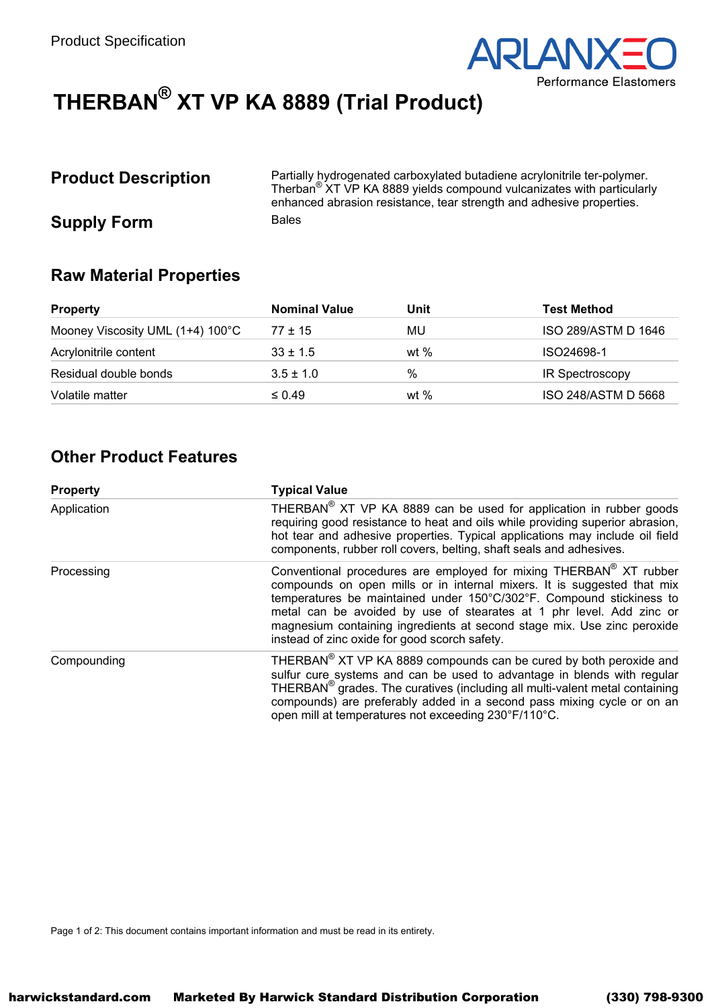

# THERBAN<sup>®</sup> XT VP KA 8889 (Trial Product)

# **Product Description**

Partially hydrogenated carboxylated butadiene acrylonitrile ter-polymer. Therban<sup>®</sup> XT VP KA 8889 yields compound vulcanizates with particularly enhanced abrasion resistance, tear strength and adhesive properties. **Bales** 

**Raw Material Properties** 

**Supply Form** 

| <b>Property</b>                  | <b>Nominal Value</b> | Unit   | <b>Test Method</b>  |
|----------------------------------|----------------------|--------|---------------------|
| Mooney Viscosity UML (1+4) 100°C | $77 \pm 15$          | MU     | ISO 289/ASTM D 1646 |
| Acrylonitrile content            | $33 \pm 1.5$         | wt $%$ | ISO24698-1          |
| Residual double bonds            | $3.5 \pm 1.0$        | $\%$   | IR Spectroscopy     |
| Volatile matter                  | $\leq 0.49$          | wt $%$ | ISO 248/ASTM D 5668 |

## **Other Product Features**

| <b>Property</b> | <b>Typical Value</b>                                                                                                                                                                                                                                                                                                                                                                                                      |  |  |
|-----------------|---------------------------------------------------------------------------------------------------------------------------------------------------------------------------------------------------------------------------------------------------------------------------------------------------------------------------------------------------------------------------------------------------------------------------|--|--|
| Application     | THERBAN <sup>®</sup> XT VP KA 8889 can be used for application in rubber goods<br>requiring good resistance to heat and oils while providing superior abrasion,<br>hot tear and adhesive properties. Typical applications may include oil field<br>components, rubber roll covers, belting, shaft seals and adhesives.                                                                                                    |  |  |
| Processing      | Conventional procedures are employed for mixing THERBAN® XT rubber<br>compounds on open mills or in internal mixers. It is suggested that mix<br>temperatures be maintained under 150°C/302°F. Compound stickiness to<br>metal can be avoided by use of stearates at 1 phr level. Add zinc or<br>magnesium containing ingredients at second stage mix. Use zinc peroxide<br>instead of zinc oxide for good scorch safety. |  |  |
| Compounding     | THERBAN <sup>®</sup> XT VP KA 8889 compounds can be cured by both peroxide and<br>sulfur cure systems and can be used to advantage in blends with regular<br>THERBAN <sup>®</sup> grades. The curatives (including all multi-valent metal containing<br>compounds) are preferably added in a second pass mixing cycle or on an<br>open mill at temperatures not exceeding 230°F/110°C.                                    |  |  |

Page 1 of 2: This document contains important information and must be read in its entirety.